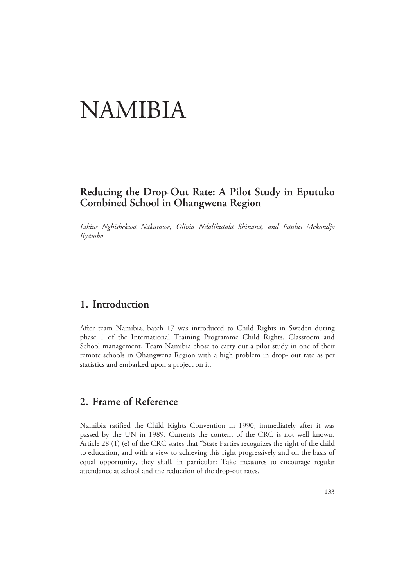# NAMIBIA

## **Reducing the Drop-Out Rate: A Pilot Study in Eputuko Combined School in Ohangwena Region**

*Likius Nghishekwa Nakamwe, Olivia Ndalikutala Shinana, and Paulus Mekondjo Iiyambo* 

## **1. Introduction**

After team Namibia, batch 17 was introduced to Child Rights in Sweden during phase 1 of the International Training Programme Child Rights, Classroom and School management, Team Namibia chose to carry out a pilot study in one of their remote schools in Ohangwena Region with a high problem in drop- out rate as per statistics and embarked upon a project on it.

## **2. Frame of Reference**

Namibia ratified the Child Rights Convention in 1990, immediately after it was passed by the UN in 1989. Currents the content of the CRC is not well known. Article 28 (1) (e) of the CRC states that "State Parties recognizes the right of the child to education, and with a view to achieving this right progressively and on the basis of equal opportunity, they shall, in particular: Take measures to encourage regular attendance at school and the reduction of the drop-out rates.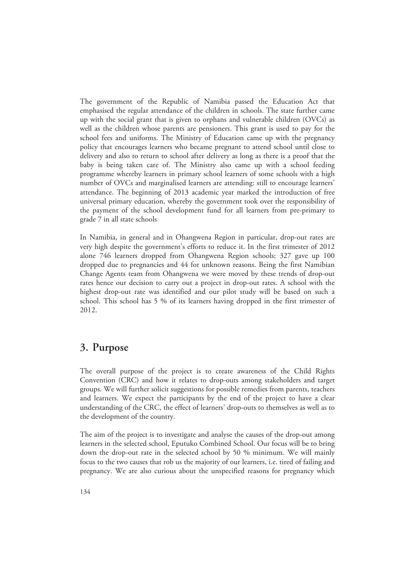The government of the Republic of Namibia passed the Education Act that emphasised the regular attendance of the children in schools. The state further came up with the social grant that is given to orphans and vulnerable children (OVCs) as well as the children whose parents are pensioners. This grant is used to pay for the school fees and uniforms. The Ministry of Education came up with the pregnancy policy that encourages learners who became pregnant to attend school until close to delivery and also to return to school after delivery as long as there is a proof that the baby is being taken care of. The Ministry also came up with a school feeding programme whereby learners in primary school learners of some schools with a high number of OVCs and marginalised learners are attending: still to encourage learners' attendance. The beginning of 2013 academic year marked the introduction of free universal primary education, whereby the government took over the responsibility of the payment of the school development fund for all learners from pre-primary to grade 7 in all state schools

In Namibia, in general and in Ohangwena Region in particular, drop-out rates are very high despite the government's efforts to reduce it. In the first trimester of 2012 alone 746 learners dropped from Ohangwena Region schools; 327 gave up 100 dropped due to pregnancies and 44 for unknown reasons. Being the first Namibian Change Agents team from Ohangwena we were moved by these trends of drop-out rates hence our decision to carry out a project in drop-out rates. A school with the highest drop-out rate was identified and our pilot study will be based on such a school. This school has 5 % of its learners having dropped in the first trimester of 2012.

#### **3. Purpose**

The overall purpose of the project is to create awareness of the Child Rights Convention (CRC) and how it relates to drop-outs among stakeholders and target groups. We will further solicit suggestions for possible remedies from parents, teachers and learners. We expect the participants by the end of the project to have a clear understanding of the CRC, the effect of learners' drop-outs to themselves as well as to the development of the country.

The aim of the project is to investigate and analyse the causes of the drop-out among learners in the selected school, Eputuko Combined School. Our focus will be to bring down the drop-out rate in the selected school by 50 % minimum. We will mainly focus to the two causes that rob us the majority of our learners, i.e. tired of failing and pregnancy. We are also curious about the unspecified reasons for pregnancy which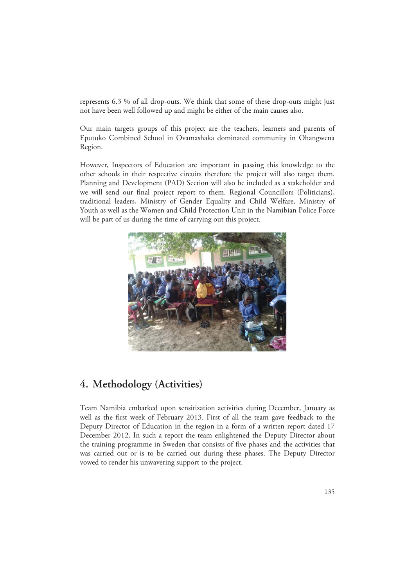represents 6.3 % of all drop-outs. We think that some of these drop-outs might just not have been well followed up and might be either of the main causes also.

Our main targets groups of this project are the teachers, learners and parents of Eputuko Combined School in Ovamashaka dominated community in Ohangwena Region.

However, Inspectors of Education are important in passing this knowledge to the other schools in their respective circuits therefore the project will also target them. Planning and Development (PAD) Section will also be included as a stakeholder and we will send our final project report to them. Regional Councillors (Politicians), traditional leaders, Ministry of Gender Equality and Child Welfare, Ministry of Youth as well as the Women and Child Protection Unit in the Namibian Police Force will be part of us during the time of carrying out this project.



## **4. Methodology (Activities)**

Team Namibia embarked upon sensitization activities during December, January as well as the first week of February 2013. First of all the team gave feedback to the Deputy Director of Education in the region in a form of a written report dated 17 December 2012. In such a report the team enlightened the Deputy Director about the training programme in Sweden that consists of five phases and the activities that was carried out or is to be carried out during these phases. The Deputy Director vowed to render his unwavering support to the project.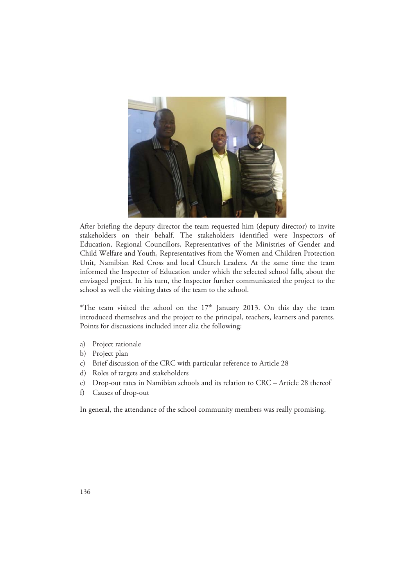

After briefing the deputy director the team requested him (deputy director) to invite stakeholders on their behalf. The stakeholders identified were Inspectors of Education, Regional Councillors, Representatives of the Ministries of Gender and Child Welfare and Youth, Representatives from the Women and Children Protection Unit, Namibian Red Cross and local Church Leaders. At the same time the team informed the Inspector of Education under which the selected school falls, about the envisaged project. In his turn, the Inspector further communicated the project to the school as well the visiting dates of the team to the school.

\*The team visited the school on the  $17<sup>th</sup>$  January 2013. On this day the team introduced themselves and the project to the principal, teachers, learners and parents. Points for discussions included inter alia the following:

- a) Project rationale
- b) Project plan
- c) Brief discussion of the CRC with particular reference to Article 28
- d) Roles of targets and stakeholders
- e) Drop-out rates in Namibian schools and its relation to CRC Article 28 thereof
- f) Causes of drop-out

In general, the attendance of the school community members was really promising.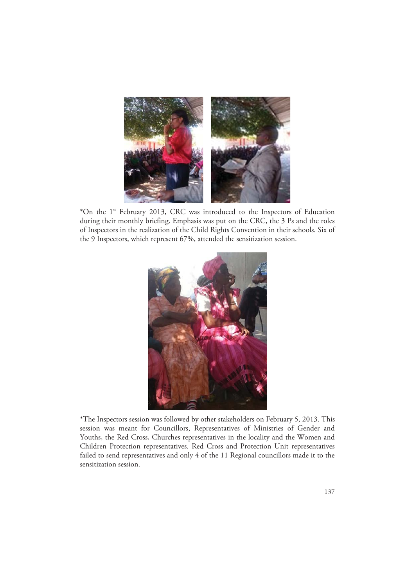

\*On the 1st February 2013, CRC was introduced to the Inspectors of Education during their monthly briefing. Emphasis was put on the CRC, the 3 Ps and the roles of Inspectors in the realization of the Child Rights Convention in their schools. Six of the 9 Inspectors, which represent 67%, attended the sensitization session.



\*The Inspectors session was followed by other stakeholders on February 5, 2013. This session was meant for Councillors, Representatives of Ministries of Gender and Youths, the Red Cross, Churches representatives in the locality and the Women and Children Protection representatives. Red Cross and Protection Unit representatives failed to send representatives and only 4 of the 11 Regional councillors made it to the sensitization session.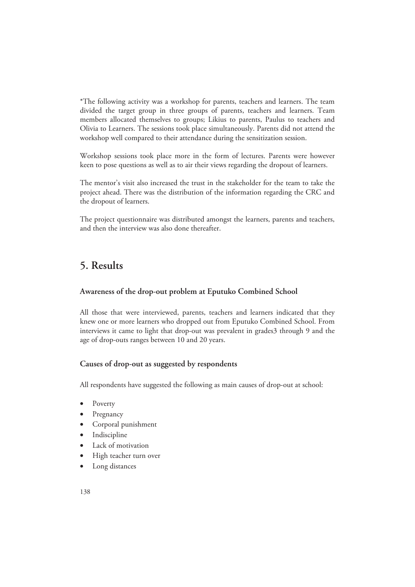\*The following activity was a workshop for parents, teachers and learners. The team divided the target group in three groups of parents, teachers and learners. Team members allocated themselves to groups; Likius to parents, Paulus to teachers and Olivia to Learners. The sessions took place simultaneously. Parents did not attend the workshop well compared to their attendance during the sensitization session.

Workshop sessions took place more in the form of lectures. Parents were however keen to pose questions as well as to air their views regarding the dropout of learners.

The mentor's visit also increased the trust in the stakeholder for the team to take the project ahead. There was the distribution of the information regarding the CRC and the dropout of learners.

The project questionnaire was distributed amongst the learners, parents and teachers, and then the interview was also done thereafter.

## **5. Results**

#### **Awareness of the drop-out problem at Eputuko Combined School**

All those that were interviewed, parents, teachers and learners indicated that they knew one or more learners who dropped out from Eputuko Combined School. From interviews it came to light that drop-out was prevalent in grades3 through 9 and the age of drop-outs ranges between 10 and 20 years.

#### **Causes of drop-out as suggested by respondents**

All respondents have suggested the following as main causes of drop-out at school:

- Poverty
- **Pregnancy**
- Corporal punishment
- **Indiscipline**
- Lack of motivation
- High teacher turn over
- Long distances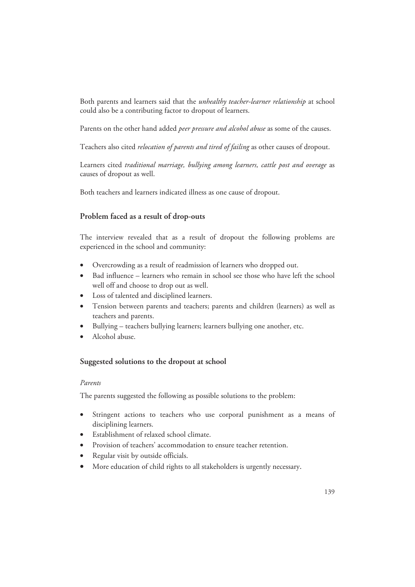Both parents and learners said that the *unhealthy teacher-learner relationship* at school could also be a contributing factor to dropout of learners.

Parents on the other hand added *peer pressure and alcohol abuse* as some of the causes.

Teachers also cited *relocation of parents and tired of failing* as other causes of dropout.

Learners cited *traditional marriage, bullying among learners, cattle post and overage* as causes of dropout as well.

Both teachers and learners indicated illness as one cause of dropout.

#### **Problem faced as a result of drop-outs**

The interview revealed that as a result of dropout the following problems are experienced in the school and community:

- Overcrowding as a result of readmission of learners who dropped out.
- Bad influence learners who remain in school see those who have left the school well off and choose to drop out as well.
- Loss of talented and disciplined learners.
- Tension between parents and teachers; parents and children (learners) as well as teachers and parents.
- Bullying teachers bullying learners; learners bullying one another, etc.
- Alcohol abuse.

#### **Suggested solutions to the dropout at school**

#### *Parents*

The parents suggested the following as possible solutions to the problem:

- Stringent actions to teachers who use corporal punishment as a means of disciplining learners.
- Establishment of relaxed school climate.
- Provision of teachers' accommodation to ensure teacher retention.
- Regular visit by outside officials.
- More education of child rights to all stakeholders is urgently necessary.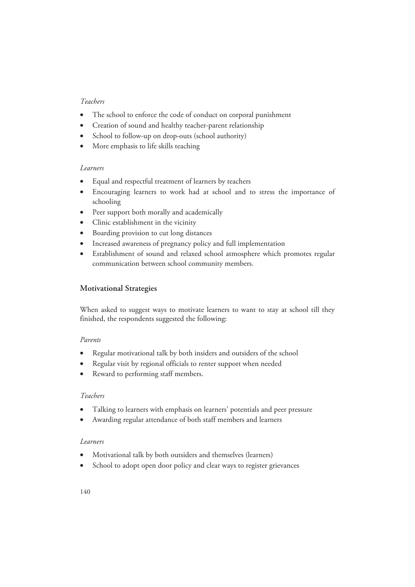#### *Teachers*

- The school to enforce the code of conduct on corporal punishment
- Creation of sound and healthy teacher-parent relationship
- School to follow-up on drop-outs (school authority)
- More emphasis to life skills teaching

#### *Learners*

- Equal and respectful treatment of learners by teachers
- Encouraging learners to work had at school and to stress the importance of schooling
- Peer support both morally and academically
- Clinic establishment in the vicinity
- Boarding provision to cut long distances
- Increased awareness of pregnancy policy and full implementation
- Establishment of sound and relaxed school atmosphere which promotes regular communication between school community members.

#### **Motivational Strategies**

When asked to suggest ways to motivate learners to want to stay at school till they finished, the respondents suggested the following:

#### *Parents*

- Regular motivational talk by both insiders and outsiders of the school
- Regular visit by regional officials to renter support when needed
- Reward to performing staff members.

#### *Teachers*

- Talking to learners with emphasis on learners' potentials and peer pressure
- Awarding regular attendance of both staff members and learners

#### *Learners*

- Motivational talk by both outsiders and themselves (learners)
- School to adopt open door policy and clear ways to register grievances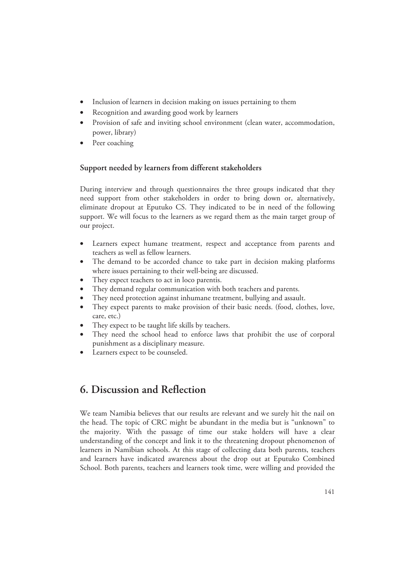- Inclusion of learners in decision making on issues pertaining to them
- Recognition and awarding good work by learners
- Provision of safe and inviting school environment (clean water, accommodation, power, library)
- Peer coaching

#### **Support needed by learners from different stakeholders**

During interview and through questionnaires the three groups indicated that they need support from other stakeholders in order to bring down or, alternatively, eliminate dropout at Eputuko CS. They indicated to be in need of the following support. We will focus to the learners as we regard them as the main target group of our project.

- Learners expect humane treatment, respect and acceptance from parents and teachers as well as fellow learners.
- The demand to be accorded chance to take part in decision making platforms where issues pertaining to their well-being are discussed.
- They expect teachers to act in loco parentis.
- They demand regular communication with both teachers and parents.
- They need protection against inhumane treatment, bullying and assault.
- They expect parents to make provision of their basic needs. (food, clothes, love, care, etc.)
- They expect to be taught life skills by teachers.
- They need the school head to enforce laws that prohibit the use of corporal punishment as a disciplinary measure.
- Learners expect to be counseled.

## **6. Discussion and Reflection**

We team Namibia believes that our results are relevant and we surely hit the nail on the head. The topic of CRC might be abundant in the media but is "unknown" to the majority. With the passage of time our stake holders will have a clear understanding of the concept and link it to the threatening dropout phenomenon of learners in Namibian schools. At this stage of collecting data both parents, teachers and learners have indicated awareness about the drop out at Eputuko Combined School. Both parents, teachers and learners took time, were willing and provided the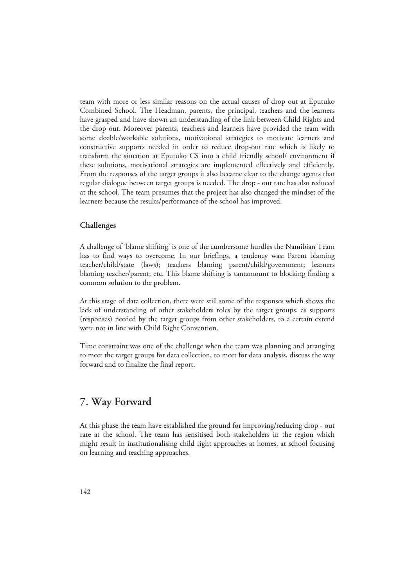team with more or less similar reasons on the actual causes of drop out at Eputuko Combined School. The Headman, parents, the principal, teachers and the learners have grasped and have shown an understanding of the link between Child Rights and the drop out. Moreover parents, teachers and learners have provided the team with some doable/workable solutions, motivational strategies to motivate learners and constructive supports needed in order to reduce drop-out rate which is likely to transform the situation at Eputuko CS into a child friendly school/ environment if these solutions, motivational strategies are implemented effectively and efficiently. From the responses of the target groups it also became clear to the change agents that regular dialogue between target groups is needed. The drop - out rate has also reduced at the school. The team presumes that the project has also changed the mindset of the learners because the results/performance of the school has improved.

#### **Challenges**

A challenge of 'blame shifting' is one of the cumbersome hurdles the Namibian Team has to find ways to overcome. In our briefings, a tendency was: Parent blaming teacher/child/state (laws); teachers blaming parent/child/government; learners blaming teacher/parent; etc. This blame shifting is tantamount to blocking finding a common solution to the problem.

At this stage of data collection, there were still some of the responses which shows the lack of understanding of other stakeholders roles by the target groups, as supports (responses) needed by the target groups from other stakeholders, to a certain extend were not in line with Child Right Convention.

Time constraint was one of the challenge when the team was planning and arranging to meet the target groups for data collection, to meet for data analysis, discuss the way forward and to finalize the final report.

## **7. Way Forward**

At this phase the team have established the ground for improving/reducing drop - out rate at the school. The team has sensitised both stakeholders in the region which might result in institutionalising child right approaches at homes, at school focusing on learning and teaching approaches.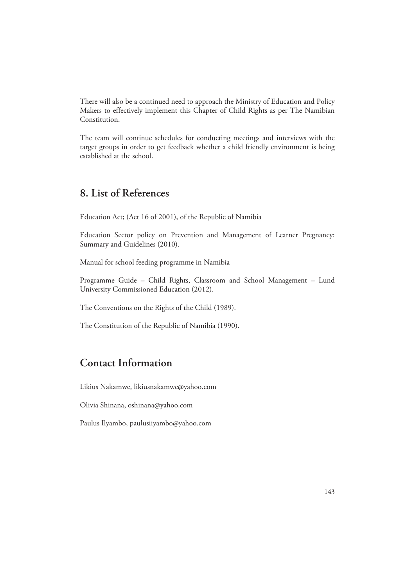There will also be a continued need to approach the Ministry of Education and Policy Makers to effectively implement this Chapter of Child Rights as per The Namibian Constitution.

The team will continue schedules for conducting meetings and interviews with the target groups in order to get feedback whether a child friendly environment is being established at the school.

## **8. List of References**

Education Act; (Act 16 of 2001), of the Republic of Namibia

Education Sector policy on Prevention and Management of Learner Pregnancy: Summary and Guidelines (2010).

Manual for school feeding programme in Namibia

Programme Guide – Child Rights, Classroom and School Management – Lund University Commissioned Education (2012).

The Conventions on the Rights of the Child (1989).

The Constitution of the Republic of Namibia (1990).

## **Contact Information**

Likius Nakamwe, likiusnakamwe@yahoo.com

Olivia Shinana, oshinana@yahoo.com

Paulus Ilyambo, paulusiiyambo@yahoo.com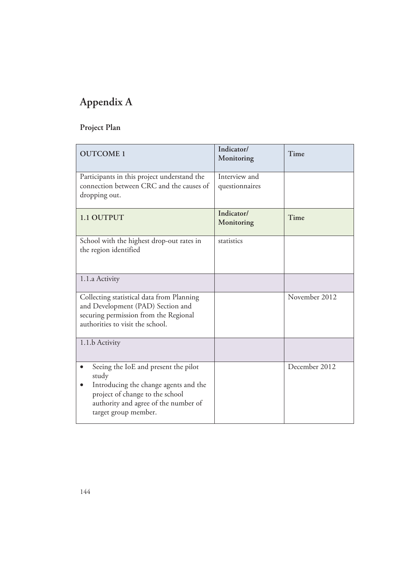## **Appendix A**

## **Project Plan**

| <b>OUTCOME 1</b>                                                                                                                                                                                       | Indicator/<br>Monitoring        | Time          |
|--------------------------------------------------------------------------------------------------------------------------------------------------------------------------------------------------------|---------------------------------|---------------|
| Participants in this project understand the<br>connection between CRC and the causes of<br>dropping out.                                                                                               | Interview and<br>questionnaires |               |
| 1.1 OUTPUT                                                                                                                                                                                             | Indicator/<br>Monitoring        | Time          |
| School with the highest drop-out rates in<br>the region identified                                                                                                                                     | statistics                      |               |
| 1.1.a Activity                                                                                                                                                                                         |                                 |               |
| Collecting statistical data from Planning<br>and Development (PAD) Section and<br>securing permission from the Regional<br>authorities to visit the school.                                            |                                 | November 2012 |
| 1.1.b Activity                                                                                                                                                                                         |                                 |               |
| Seeing the IoE and present the pilot<br>study<br>Introducing the change agents and the<br>$\bullet$<br>project of change to the school<br>authority and agree of the number of<br>target group member. |                                 | December 2012 |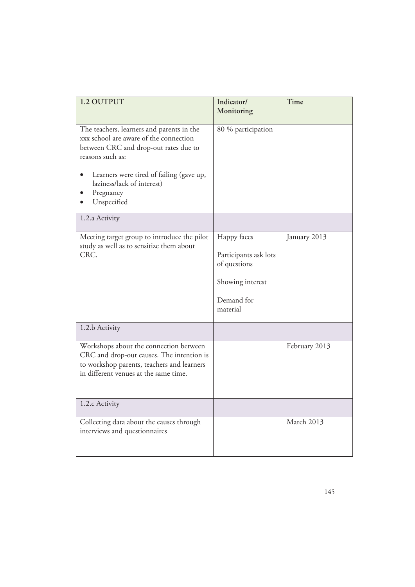| 1.2 OUTPUT                                                                                                                                                                                                                                             | Indicator/<br>Monitoring                                                                           | Time          |
|--------------------------------------------------------------------------------------------------------------------------------------------------------------------------------------------------------------------------------------------------------|----------------------------------------------------------------------------------------------------|---------------|
| The teachers, learners and parents in the<br>xxx school are aware of the connection<br>between CRC and drop-out rates due to<br>reasons such as:<br>Learners were tired of failing (gave up,<br>laziness/lack of interest)<br>Pregnancy<br>Unspecified | 80 % participation                                                                                 |               |
| 1.2.a Activity                                                                                                                                                                                                                                         |                                                                                                    |               |
| Meeting target group to introduce the pilot<br>study as well as to sensitize them about<br>CRC.                                                                                                                                                        | Happy faces<br>Participants ask lots<br>of questions<br>Showing interest<br>Demand for<br>material | January 2013  |
| 1.2.b Activity                                                                                                                                                                                                                                         |                                                                                                    |               |
| Workshops about the connection between<br>CRC and drop-out causes. The intention is<br>to workshop parents, teachers and learners<br>in different venues at the same time.                                                                             |                                                                                                    | February 2013 |
| 1.2.c Activity                                                                                                                                                                                                                                         |                                                                                                    |               |
| Collecting data about the causes through<br>interviews and questionnaires                                                                                                                                                                              |                                                                                                    | March 2013    |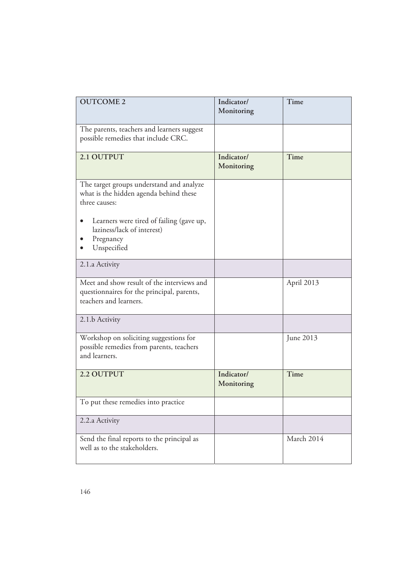| <b>OUTCOME 2</b>                                                                                                                                                                                          | Indicator/<br>Monitoring | Time       |
|-----------------------------------------------------------------------------------------------------------------------------------------------------------------------------------------------------------|--------------------------|------------|
| The parents, teachers and learners suggest<br>possible remedies that include CRC.                                                                                                                         |                          |            |
| 2.1 OUTPUT                                                                                                                                                                                                | Indicator/<br>Monitoring | Time       |
| The target groups understand and analyze<br>what is the hidden agenda behind these<br>three causes:<br>Learners were tired of failing (gave up,<br>laziness/lack of interest)<br>Pregnancy<br>Unspecified |                          |            |
| 2.1.a Activity                                                                                                                                                                                            |                          |            |
| Meet and show result of the interviews and<br>questionnaires for the principal, parents,<br>teachers and learners.                                                                                        |                          | April 2013 |
| 2.1.b Activity                                                                                                                                                                                            |                          |            |
| Workshop on soliciting suggestions for<br>possible remedies from parents, teachers<br>and learners.                                                                                                       |                          | June 2013  |
| 2.2 OUTPUT                                                                                                                                                                                                | Indicator/<br>Monitoring | Time       |
| To put these remedies into practice                                                                                                                                                                       |                          |            |
| 2.2.a Activity                                                                                                                                                                                            |                          |            |
| Send the final reports to the principal as<br>well as to the stakeholders.                                                                                                                                |                          | March 2014 |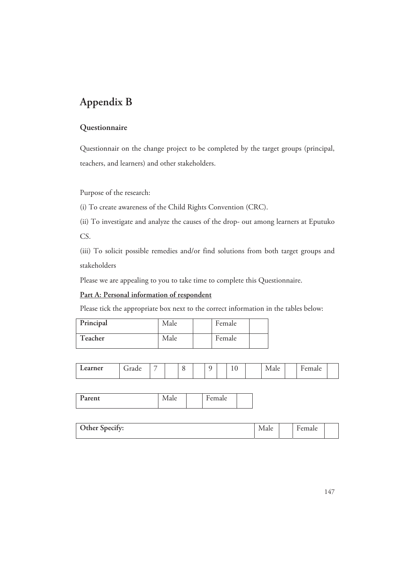## **Appendix B**

#### **Questionnaire**

Questionnair on the change project to be completed by the target groups (principal, teachers, and learners) and other stakeholders.

Purpose of the research:

(i) To create awareness of the Child Rights Convention (CRC).

(ii) To investigate and analyze the causes of the drop- out among learners at Eputuko CS.

(iii) To solicit possible remedies and/or find solutions from both target groups and stakeholders

Please we are appealing to you to take time to complete this Questionnaire.

#### **Part A: Personal information of respondent**

Please tick the appropriate box next to the correct information in the tables below:

| Principal | Male | Female |  |
|-----------|------|--------|--|
| Teacher   | Male | Female |  |

| Ð<br>arent<br>dL | <b>VICLLU</b> |  | T<br>$\overline{1}$ |  |
|------------------|---------------|--|---------------------|--|
|------------------|---------------|--|---------------------|--|

| Other Specify: | Male | emale |  |
|----------------|------|-------|--|
|                |      |       |  |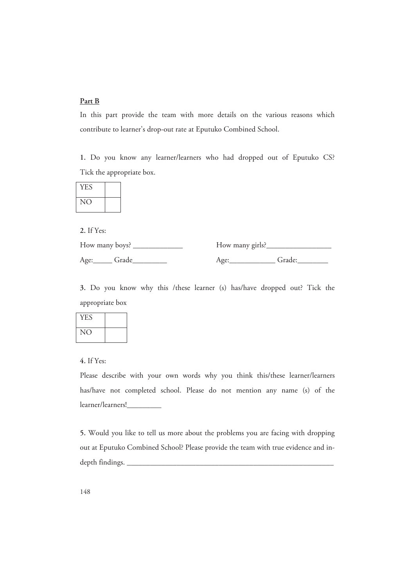#### **Part B**

In this part provide the team with more details on the various reasons which contribute to learner's drop-out rate at Eputuko Combined School.

**1.** Do you know any learner/learners who had dropped out of Eputuko CS? Tick the appropriate box.

| <b>YES</b> |  |
|------------|--|
|            |  |

**2.** If Yes:

| How many boys?         | How many girls? |        |
|------------------------|-----------------|--------|
| Age: <sub></sub> Grade | A¤e•            | Grade: |

**3.** Do you know why this /these learner (s) has/have dropped out? Tick the appropriate box

| <b>YES</b>      |  |
|-----------------|--|
| NO <sub>1</sub> |  |

**4.** If Yes:

Please describe with your own words why you think this/these learner/learners has/have not completed school. Please do not mention any name (s) of the learner/learners!\_\_\_\_\_\_\_\_\_

**5.** Would you like to tell us more about the problems you are facing with dropping out at Eputuko Combined School? Please provide the team with true evidence and indepth findings.